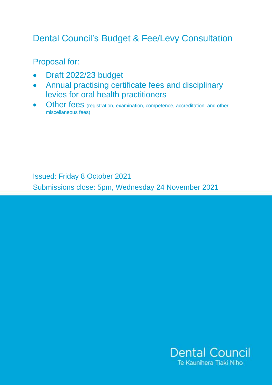# Dental Council's Budget & Fee/Levy Consultation

Proposal for:

- Draft 2022/23 budget
- Annual practising certificate fees and disciplinary levies for oral health practitioners
- Other fees (registration, examination, competence, accreditation, and other miscellaneous fees)

Issued: Friday 8 October 2021

Submissions close: 5pm, Wednesday 24 November 2021

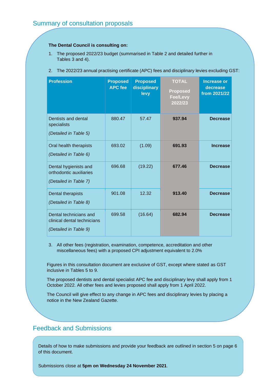#### **The Dental Council is consulting on:**

- 1. The proposed 2022/23 budget (summarised in Table 2 and detailed further in Tables 3 and 4).
- 2. The 2022/23 annual practising certificate (APC) fees and disciplinary levies excluding GST:

| <b>Profession</b>                                                              | <b>Proposed</b><br><b>APC fee</b> | <b>Proposed</b><br>disciplinary<br>levy | <b>TOTAL</b><br><b>Proposed</b><br><b>Fee/Levy</b><br>2022/23 | <b>Increase or</b><br>decrease<br>from 2021/22 |
|--------------------------------------------------------------------------------|-----------------------------------|-----------------------------------------|---------------------------------------------------------------|------------------------------------------------|
| Dentists and dental<br>specialists<br>(Detailed in Table 5)                    | 880.47                            | 57.47                                   | 937.94                                                        | <b>Decrease</b>                                |
| Oral health therapists<br>(Detailed in Table 6)                                | 693.02                            | (1.09)                                  | 691.93                                                        | <b>Increase</b>                                |
| Dental hygienists and<br>orthodontic auxiliaries<br>(Detailed in Table 7)      | 696.68                            | (19.22)                                 | 677.46                                                        | <b>Decrease</b>                                |
| Dental therapists<br>(Detailed in Table 8)                                     | 901.08                            | 12.32                                   | 913.40                                                        | <b>Decrease</b>                                |
| Dental technicians and<br>clinical dental technicians<br>(Detailed in Table 9) | 699.58                            | (16.64)                                 | 682.94                                                        | <b>Decrease</b>                                |

3. All other fees (registration, examination, competence, accreditation and other miscellaneous fees) with a proposed CPI adjustment equivalent to 2.0%

Figures in this consultation document are exclusive of GST, except where stated as GST inclusive in Tables 5 to 9.

The proposed dentists and dental specialist APC fee and disciplinary levy shall apply from 1 October 2022. All other fees and levies proposed shall apply from 1 April 2022.

The Council will give effect to any change in APC fees and disciplinary levies by placing a notice in the New Zealand Gazette.

## Feedback and Submissions

Details of how to make submissions and provide your feedback are outlined in section 5 on page 6 of this document.

Submissions close at **5pm on Wednesday 24 November 2021**.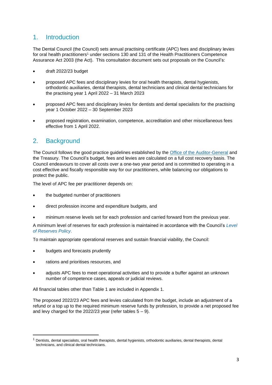## 1. Introduction

The Dental Council (the Council) sets annual practising certificate (APC) fees and disciplinary levies for oral health practitioners<sup>1</sup> under sections 130 and 131 of the Health Practitioners Competence Assurance Act 2003 (the Act). This consultation document sets out proposals on the Council's:

- draft 2022/23 budget
- proposed APC fees and disciplinary levies for oral health therapists, dental hygienists, orthodontic auxiliaries, dental therapists, dental technicians and clinical dental technicians for the practising year 1 April 2022 – 31 March 2023
- proposed APC fees and disciplinary levies for dentists and dental specialists for the practising year 1 October 2022 – 30 September 2023
- proposed registration, examination, competence, accreditation and other miscellaneous fees effective from 1 April 2022.

## 2. Background

The Council follows the good practice guidelines established by the [Office of the Auditor-General](https://oag.parliament.nz/2021/fees-and-levies/docs/fees-and-levies.pdf) and the Treasury. The Council's budget, fees and levies are calculated on a full cost recovery basis. The Council endeavours to cover all costs over a one-two year period and is committed to operating in a cost effective and fiscally responsible way for our practitioners, while balancing our obligations to protect the public.

The level of APC fee per practitioner depends on:

- the budgeted number of practitioners
- direct profession income and expenditure budgets, and
- minimum reserve levels set for each profession and carried forward from the previous year.

A minimum level of reserves for each profession is maintained in accordance with the Council's *[Level](https://www.dcnz.org.nz/assets/Uploads/Policies/Level-of-Reserves-Policy.pdf) [of Reserves Policy](https://www.dcnz.org.nz/assets/Uploads/Policies/Level-of-Reserves-Policy.pdf)*.

To maintain appropriate operational reserves and sustain financial viability, the Council:

- budgets and forecasts prudently
- rations and prioritises resources, and
- adjusts APC fees to meet operational activities and to provide a buffer against an unknown number of competence cases, appeals or judicial reviews.

All financial tables other than Table 1 are included in Appendix 1.

The proposed 2022/23 APC fees and levies calculated from the budget, include an adjustment of a refund or a top up to the required minimum reserve funds by profession, to provide a net proposed fee and levy charged for the 2022/23 year (refer tables  $5 - 9$ ).

<sup>1</sup> Dentists, dental specialists, oral health therapists, dental hygienists, orthodontic auxiliaries, dental therapists, dental technicians, and clinical dental technicians.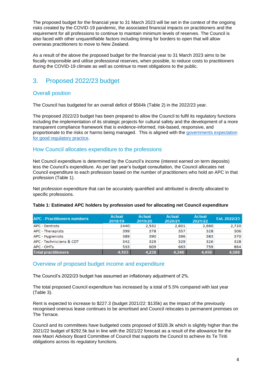The proposed budget for the financial year to 31 March 2023 will be set in the context of the ongoing risks created by the COVID-19 pandemic, the associated financial impacts on practitioners and the requirement for all professions to continue to maintain minimum levels of reserves. The Council is also faced with other unquantifiable factors including timing for borders to open that will allow overseas practitioners to move to New Zealand.

As a result of the above the proposed budget for the financial year to 31 March 2023 aims to be fiscally responsible and utilise professional reserves, when possible, to reduce costs to practitioners during the COVID-19 climate as well as continue to meet obligations to the public.

## 3. Proposed 2022/23 budget

#### Overall position

The Council has budgeted for an overall deficit of \$564k (Table 2) in the 2022/23 year.

The proposed 2022/23 budget has been prepared to allow the Council to fulfil its regulatory functions including the implementation of its strategic projects for cultural safety and the development of a more transparent compliance framework that is evidence-informed, risk-based, responsive, and proportionate to the risks or harms being managed. This is aligned with the [governments expectation](https://www.treasury.govt.nz/sites/default/files/2015-09/good-reg-practice.pdf)  [for good regulatory practice.](https://www.treasury.govt.nz/sites/default/files/2015-09/good-reg-practice.pdf)

#### How Council allocates expenditure to the professions

Net Council expenditure is determined by the Council's income (interest earned on term deposits) less the Council's expenditure. As per last year's budget consultation, the Council allocates net Council expenditure to each profession based on the number of practitioners who hold an APC in that profession (Table 1).

Net profession expenditure that can be accurately quantified and attributed is directly allocated to specific professions.

| <b>APC - Practitioners numbers</b> | $-1$<br>Actual<br>2018/19 | Actual<br>2019/20 | Actual<br>2020/21 | Actual<br>2021/22 | Est. 2022/23 |
|------------------------------------|---------------------------|-------------------|-------------------|-------------------|--------------|
| <b>APC - Dentists</b>              | 2440                      | 2.532             | 2.601             | 2.660             | 2,720        |
| APC - Therapists                   | 399                       | 378               | 357               | 328               | 306          |
| APC - Hygienists                   | 389                       | 390               | 396               | 383               | 370          |
| APC - Technicians & CDT            | 342                       | 329               | 329               | 326               | 328          |
| APC - OHTs                         | 533                       | 609               | 663               | 759               | 864          |
| <b>Total practitioners</b>         | 4.103                     | 4,238             | 4.346             | 4.456             | .588         |

#### **Table 1: Estimated APC holders by profession used for allocating net Council expenditure**

#### Overview of proposed budget income and expenditure

The Council's 2022/23 budget has assumed an inflationary adjustment of 2%.

The total proposed Council expenditure has increased by a total of 5.5% compared with last year (Table 3).

Rent is expected to increase to \$227.3 (budget 2021/22: \$135k) as the impact of the previously recognised onerous lease continues to be amortised and Council relocates to permanent premises on The Terrace.

Council and its committees have budgeted costs proposed of \$328.3k which is slightly higher than the 2021/22 budget of \$292.5k but in line with the 2021/22 forecast as a result of the allowance for the new Maori Advisory Board Committee of Council that supports the Council to achieve its Te Tiriti obligations across its regulatory functions.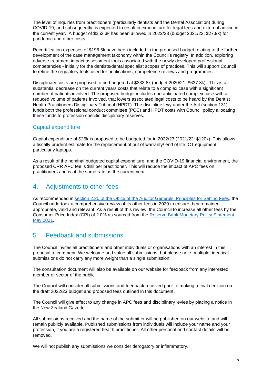The level of inquiries from practitioners (particularly dentists and the Dental Association) during COVID-19, and subsequently, is expected to result in expenditure for legal fees and external advice in the current year. A budget of \$252.3k has been allowed in 2022/23 (budget 2021/22: \$27.9k) for pandemic and other costs.

Recertification expenses of \$196.5k have been included in the proposed budget relating to the further development of the case management taxonomy within the Council's registry. In addition, exploring adverse treatment impact assessment tools associated with the newly developed professional competencies - initially for the dentists/dental specialist scopes of practices. This will support Council to refine the regulatory tools used for notifications, competence reviews and programmes.

Disciplinary costs are proposed to be budgeted at \$333.8k (budget 2020/21: \$637.3k). This is a substantial decrease on the current years costs that relate to a complex case with a significant number of patients involved. The proposed budget includes one anticipated complex case with a reduced volume of patients involved, that lowers associated legal costs to be heard by the Dentist Health Practitioners Disciplinary Tribunal (HPDT). The discipline levy under the Act (section 131) funds both the professional conduct committee (PCC) and HPDT costs with Council policy allocating these funds to profession specific disciplinary reserves.

#### Capital expenditure

Capital expenditure of \$25k is proposed to be budgeted for in 2022/23 (2021/22: \$120k). This allows a fiscally prudent estimate for the replacement of out of warranty/ end of life ICT equipment, particularly laptops.

As a result of the nominal budgeted capital expenditure, and the COVID-19 financial environment, the proposed CRR APC fee is \$nil per practitioner. This will reduce the impact of APC fees on practitioners and is at the same rate as the current year.

## 4. Adjustments to other fees

As recommended in section 2.20 [of the Office of the Auditor Generals' Principles for Setting Fees,](https://oag.parliament.nz/2021/fees-and-levies/docs/fees-and-levies.pdf) the Council undertook a comprehensive review of its other fees in 2020 to ensure they remained appropriate, valid and relevant. As a result of this review, the Council to increase all other fees by the Consumer Price Index (CPI) of 2.0% as sourced from the [Reserve Bank Monetary Policy Statement](https://www.rbnz.govt.nz/monetary-policy/monetary-policy-statement/mps-may-2021)  [May 2021.](https://www.rbnz.govt.nz/monetary-policy/monetary-policy-statement/mps-may-2021)

## 5. Feedback and submissions

The Council invites all practitioners and other individuals or organisations with an interest in this proposal to comment. We welcome and value all submissions, but please note, multiple, identical submissions do not carry any more weight than a single submission.

The consultation document will also be available on our website for feedback from any interested member or sector of the public.

The Council will consider all submissions and feedback received prior to making a final decision on the draft 2022/23 budget and proposed fees outlined in this document.

The Council will give effect to any change in APC fees and disciplinary levies by placing a notice in the New Zealand Gazette.

All submissions received and the name of the submitter will be published on our website and will remain publicly available. Published submissions from individuals will include your name and your profession, if you are a registered health practitioner. All other personal and contact details will be removed.

We will not publish any submissions we consider derogatory or inflammatory.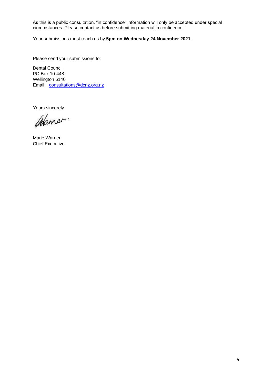As this is a public consultation, "in confidence" information will only be accepted under special circumstances. Please contact us before submitting material in confidence.

Your submissions must reach us by **5pm on Wednesday 24 November 2021**.

Please send your submissions to:

Dental Council PO Box 10-448 Wellington 6140 Email: [consultations@dcnz.org.nz](mailto:consultations@dcnz.org.nz)

Yours sincerely

Colaner.

Marie Warner Chief Executive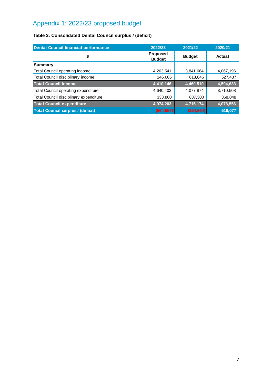## Appendix 1: 2022/23 proposed budget

## **Table 2: Consolidated Dental Council surplus / (deficit)**

| <b>Dental Council financial performance</b> | 2022/23                   | 2021/22       | 2020/21   |
|---------------------------------------------|---------------------------|---------------|-----------|
| \$                                          | Proposed<br><b>Budget</b> | <b>Budget</b> | Actual    |
| Summary                                     |                           |               |           |
| Total Council operating income              | 4,263,541                 | 3,841,664     | 4,067,196 |
| Total Council disciplinary income           | 146,605                   | 618,846       | 527,437   |
| <b>Total Council income</b>                 | 4,410,146                 | 4,460,510     | 4,594,633 |
| Total Council operating expenditure         | 4,640,403                 | 4,077,874     | 3,710,508 |
| Total Council disciplinary expenditure      | 333,800                   | 637,300       | 368,048   |
| <b>Total Council expenditure</b>            | 4,974,203                 | 4,715,174     | 4,078,556 |
| <b>Total Council surplus / (deficit)</b>    | (564, 057)                | (254, 664)    | 516,077   |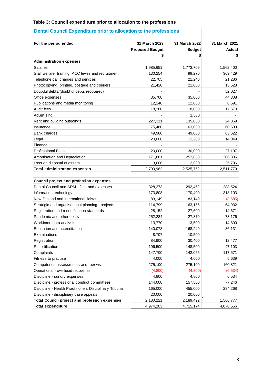#### **Table 3: Council expenditure prior to allocation to the professions**

| For the period ended                                    | 31 March 2023                | 31 March 2022       | 31 March 2021 |
|---------------------------------------------------------|------------------------------|---------------------|---------------|
|                                                         | <b>Proposed Budget</b><br>\$ | <b>Budget</b><br>\$ | Actual        |
|                                                         |                              |                     |               |
| <b>Administration expenses</b><br><b>Salaries</b>       | 1,985,651                    | 1,773,709           | 1,562,400     |
| Staff welfare, training, ACC levies and recruitment     | 130,254                      | 99,270              | 369,429       |
| Telephone call charges and services                     | 22,705                       | 21,240              | 21,286        |
| Photocopying, printing, postage and couriers            | 21,420                       | 21,000              | 13,528        |
| Doubtful debts/(doubtful debts recovered)               |                              |                     | 52,027        |
| Office expenses                                         | 35,700                       | 35,000              | 44,308        |
| Publications and media monitoring                       | 12,240                       | 12,000              | 8,691         |
| Audit fees                                              | 18,360                       | 18,000              | 17,670        |
| Advertising                                             |                              | 1,500               |               |
| Rent and building outgoings                             | 227,311                      | 135,000             | 24,869        |
| Insurance                                               | 75,480                       | 63,000              | 60,600        |
| Bank charges                                            | 49,980                       | 49,000              | 63,622        |
| Legal                                                   | 20,000                       | 11,200              | 14,049        |
| Finance                                                 |                              |                     |               |
| <b>Professional Fees</b>                                | 20,000                       | 30,000              | 27,197        |
| Amortisation and Depreciation                           | 171,881                      | 252,833             | 206,306       |
| Loss on disposal of assets                              | 3,000                        | 3,000               | 25,796        |
| <b>Total administration expenses</b>                    | 2,793,982                    | 2,525,752           | 2,511,779     |
|                                                         |                              |                     |               |
| <b>Council project and profession expenses</b>          |                              |                     |               |
| Dental Council and ARM - fees and expenses              | 328,273                      | 292,452             | 288,524       |
| Information technology                                  | 173,808                      | 170,400             | 318,103       |
| New Zealand and international liaison                   | 83,149                       | 83,149              | (3,685)       |
| Strategic and organisational planning - projects        | 114,799                      | 163,156             | 64,932        |
| Registration and recertification standards              | 28,152                       | 27,600              | 14,671        |
| Pandemic and other costs                                | 252,284                      | 27,870              | 78,176        |
| Workforce data analysis                                 | 13,770                       | 13,500              | 14,800        |
| Education and accreditation                             | 140,078                      | 168,240             | 86,131        |
| Examinations                                            | 8,707                        | 10,500              |               |
| Registration                                            | 84,900                       | 30,400              | 12,477        |
| Recertification                                         | 196,500                      | 148,500             | 47,103        |
| Complaints                                              | 147,700                      | 142,055             | 117,571       |
| Fitness to practise                                     | 4,000                        | 4,000               | 5,639         |
| Competence assessments and reviews                      | 275,100                      | 275,100             | 160,821       |
| Operational - overhead recoveries                       | (4,800)                      | (4,800)             | (6, 534)      |
| Discipline - sundry expenses                            | 4,800                        | 4,800               | 6,534         |
| Discipline - professional conduct committees            | 144,000                      | 157,500             | 77,246        |
| Discipline - Health Practitioners Disciplinary Tribunal | 165,000                      | 455,000             | 284,268       |
| Discipline - disciplinary case appeals                  | 20,000                       | 20,000              |               |
| <b>Total Council project and profession expenses</b>    | 2,180,221                    | 2,189,422           | 1,566,777     |
| <b>Total expenditure</b>                                | 4,974,203                    | 4,715,174           | 4,078,556     |

## **Dental Council Expenditure prior to allocation to the professions**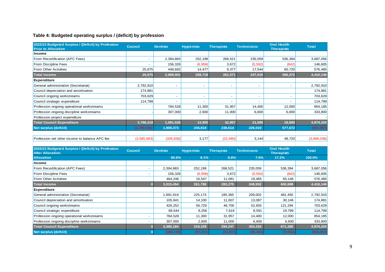### **Table 4: Budgeted operating surplus / (deficit) by profession**

| 2022/23 Budgeted Surplus / (Deficit) by Profession<br><b>Prior to Allocation</b> | <b>Council</b> | <b>Dentists</b>          | <b>Hygienists</b> | <b>Therapists</b>        | <b>Technicians</b>       | <b>Oral Health</b><br><b>Therapists</b> | <b>Total</b> |
|----------------------------------------------------------------------------------|----------------|--------------------------|-------------------|--------------------------|--------------------------|-----------------------------------------|--------------|
| Income                                                                           |                |                          |                   |                          |                          |                                         |              |
| From Recertification (APC Fees)                                                  | $\blacksquare$ | 2,394,883                | 252,199           | 268,521                  | 235,059                  | 536,394                                 | 3,687,056    |
| From Discipline Fees                                                             |                | 156,326                  | (6,958)           | 3,672                    | (5, 592)                 | (842)                                   | 146,605      |
| <b>From Other Activities</b>                                                     | 25,675         | 448,692                  | 14,477            | 9,377                    | 17,544                   | 60,720                                  | 576,485      |
| <b>Total Income</b>                                                              | 25,675         | 2,999,901                | 259,718           | 281,571                  | 247,010                  | 596,272                                 | 4,410,146    |
| <b>Expenditure</b>                                                               |                |                          |                   |                          |                          |                                         |              |
| General administration (Secretariat)                                             | 2,792,910      | $\overline{\phantom{a}}$ | $\blacksquare$    | $\overline{\phantom{a}}$ | $\blacksquare$           |                                         | 2,792,910    |
| Council depreciation and amortisation                                            | 174,881        |                          |                   |                          |                          |                                         | 174,881      |
| Council ongoing workstreams                                                      | 703,629        | $\overline{a}$           | $\blacksquare$    | $\blacksquare$           | $\overline{\phantom{a}}$ | $\overline{a}$                          | 703,629      |
| Council strategic expenditure                                                    | 114,799        |                          |                   |                          |                          |                                         | 114,799      |
| Profession ongoing operational workstreams                                       |                | 784,528                  | 11,300            | 31,957                   | 14,400                   | 12,000                                  | 854,185      |
| Profession ongoing discipline workstreams                                        |                | 307,000                  | 2,600             | 11,000                   | 6,600                    | 6,600                                   | 333,800      |
| Profession project expenditure                                                   |                |                          |                   |                          |                          |                                         |              |
| <b>Total Council Expenditure</b>                                                 | 3,786,218      | 1,091,528                | 13,900            | 42,957                   | 21,000                   | 18,600                                  | 4,974,203    |
| <b>Net surplus (deficit)</b>                                                     | (3,760,543)    | 1,908,373                | 245,818           | 238,614                  | 226,010                  | 577,672                                 | (564, 057)   |
|                                                                                  |                |                          |                   |                          |                          |                                         |              |
| Profession net other income to balance APC fee                                   | (3,585,663)    | (335, 836)               | 3,177             | (22, 580)                | 3,144                    | 48,720                                  | (3,889,038)  |
|                                                                                  |                |                          |                   |                          |                          |                                         |              |
| 2022/23 Budgeted Surplus / (Deficit) by Profession<br><b>After Allocation</b>    | <b>Council</b> | <b>Dentists</b>          | <b>Hygienists</b> | <b>Therapists</b>        | <b>Technicians</b>       | <b>Oral Health</b><br><b>Therapists</b> | <b>Total</b> |
| <b>Allocation</b>                                                                |                | 60.6%                    | 8.1%              | 6.6%                     | 7.5%                     | 17.2%                                   | 100.0%       |
| Income                                                                           |                |                          |                   |                          |                          |                                         |              |
| From Recertification (APC Fees)                                                  |                | 2,394,883                | 252,199           | 268,521                  | 235,059                  | 536,394                                 | 3,687,056    |
| From Discipline Fees                                                             |                | 156,326                  | (6,958)           | 3,672                    | (5, 592)                 | (842)                                   | 146,605      |
| <b>From Other Activities</b>                                                     |                | 464,246                  | 16,547            | 11,081                   | 19,465                   | 65,146                                  | 576,485      |
| <b>Total Income</b>                                                              | $\bf{0}$       | 3,015,454                | 261,788           | 283,275                  | 248,932                  | 600,698                                 | 4,410,146    |
| <b>Expenditure</b>                                                               |                |                          |                   |                          |                          |                                         |              |
| General administration (Secretariat)                                             |                | 1,691,919                | 225,174           | 185,365                  | 209,002                  | 481,450                                 | 2,792,910    |
| Council depreciation and amortisation                                            |                | 105,941                  | 14,100            | 11,607                   | 13,087                   | 30,146                                  | 174,881      |
| Council ongoing workstreams                                                      |                | 426,252                  | 56,729            | 46,700                   | 52,655                   | 121,294                                 | 703,629      |
| Council strategic expenditure                                                    |                | 69,544                   | 9,256             | 7,619                    | 8,591                    | 19,789                                  | 114,799      |
| Profession ongoing operational workstreams                                       | $\overline{a}$ | 784,528                  | 11,300            | 31,957                   | 14,400                   | 12,000                                  | 854,185      |
| Profession ongoing discipline workstreams                                        |                | 307,000                  | 2,600             | 11,000                   | 6,600                    | 6,600                                   | 333,800      |
| <b>Total Council Expenditure</b>                                                 | $\bf{0}$       | 3,385,184                | 319,159           | 294,247                  | 304,334                  | 671,280                                 | 4,974,203    |
| <b>Net surplus (deficit)</b>                                                     | $\overline{0}$ | (369, 729)               | (57, 371)         | (10, 973)                | (55, 402)                | (70, 582)                               | (564, 057)   |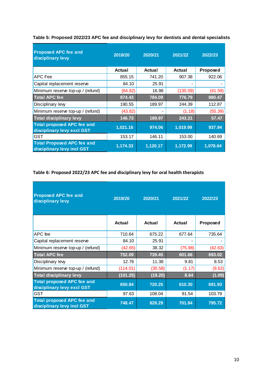| <b>Proposed APC fee and</b><br>disciplinary levy                | 2019/20  | 2020/21  | 2021/22  | 2022/23         |
|-----------------------------------------------------------------|----------|----------|----------|-----------------|
|                                                                 | Actual   | Actual   | Actual   | <b>Proposed</b> |
| APC Fee                                                         | 855.15   | 741.20   | 907.38   | 922.06          |
| Capital replacement reserve                                     | 84.10    | 25.91    |          |                 |
| Minimum reserve top-up / (refund)                               | (64.82)  | 16.98    | (130.59) | (41.59)         |
| <b>Total APC fee</b>                                            | 874.43   | 784.09   | 776.79   | 880.47          |
| Disciplinary levy                                               | 190.55   | 189.97   | 244.39   | 112.87          |
| Minimum reserve top-up / (refund)                               | (43.82)  | -        | (1.18)   | (55.39)         |
| <b>Total disciplinary levy</b>                                  | 146.73   | 189.97   | 243.21   | 57.47           |
| <b>Total proposed APC fee and</b><br>disciplinary levy excl GST | 1,021.16 | 974.06   | 1,019.99 | 937.94          |
| GST                                                             | 153.17   | 146.11   | 153.00   | 140.69          |
| <b>Total Proposed APC fee and</b><br>disciplinary levy incl GST | 1,174.33 | 1,120.17 | 1,172.99 | 1,078.64        |

**Table 5: Proposed 2022/23 APC fee and disciplinary levy for dentists and dental specialists**

#### **Table 6: Proposed 2022/23 APC fee and disciplinary levy for oral health therapists**

| <b>Proposed APC fee and</b><br>disciplinary levy                | 2019/20  | 2020/21 | 2021/22 | 2022/23         |
|-----------------------------------------------------------------|----------|---------|---------|-----------------|
|                                                                 | Actual   | Actual  | Actual  | <b>Proposed</b> |
| APC fee                                                         | 710.64   | 675.22  | 677.64  | 735.64          |
| Capital replacement reserve                                     | 84.10    | 25.91   |         |                 |
| Minimum reserve top-up / (refund)                               | (42.65)  | 38.32   | (75.98) | (42.63)         |
| <b>Total APC fee</b>                                            | 752.09   | 739.45  | 601.66  | 693.02          |
| Disciplinary lew                                                | 12.76    | 11.38   | 9.81    | 8.53            |
| Minimum reserve top-up / (refund)                               | (114.01) | (30.58) | (1.17)  | (9.62)          |
| <b>Total disciplinary levy</b>                                  | (101.25) | (19.20) | 8.64    | (1.09)          |
| <b>Total proposed APC fee and</b><br>disciplinary levy excl GST | 650.84   | 720.25  | 610.30  | 691.93          |
| <b>GST</b>                                                      | 97.63    | 108.04  | 91.54   | 103.79          |
| <b>Total proposed APC fee and</b><br>disciplinary levy incl GST | 748.47   | 828.29  | 701.84  | 795.72          |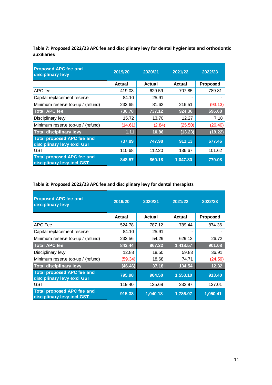**Table 7: Proposed 2022/23 APC fee and disciplinary levy for dental hygienists and orthodontic auxiliaries**

| <b>Proposed APC fee and</b><br>disciplinary levy                | 2019/20 | 2020/21 | 2021/22  | 2022/23         |
|-----------------------------------------------------------------|---------|---------|----------|-----------------|
|                                                                 | Actual  | Actual  | Actual   | <b>Proposed</b> |
| APC fee                                                         | 419.03  | 629.59  | 707.85   | 789.81          |
| Capital replacement reserve                                     | 84.10   | 25.91   |          |                 |
| Minimum reserve top-up / (refund)                               | 233.65  | 81.62   | 216.51   | (93.13)         |
| <b>Total APC fee</b>                                            | 736.78  | 737.12  | 924.36   | 696.68          |
| Disciplinary levy                                               | 15.72   | 13.70   | 12.27    | 7.18            |
| Minimum reserve top-up / (refund)                               | (14.61) | (2.84)  | (25.50)  | (26.40)         |
| <b>Total disciplinary levy</b>                                  | 1.11    | 10.86   | (13.23)  | (19.22)         |
| <b>Total proposed APC fee and</b><br>disciplinary levy excl GST | 737.89  | 747.98  | 911.13   | 677.46          |
| GST                                                             | 110.68  | 112.20  | 136.67   | 101.62          |
| <b>Total proposed APC fee and</b><br>disciplinary levy incl GST | 848.57  | 860.18  | 1,047.80 | 779.08          |

## **Table 8: Proposed 2022/23 APC fee and disciplinary levy for dental therapists**

| <b>Proposed APC fee and</b><br>disciplinary levy                | 2019/20 | 2020/21  | 2021/22  | 2022/23  |
|-----------------------------------------------------------------|---------|----------|----------|----------|
|                                                                 | Actual  | Actual   | Actual   | Proposed |
| APC Fee                                                         | 524.78  | 787.12   | 789.44   | 874.36   |
| Capital replacement reserve                                     | 84.10   | 25.91    |          |          |
| Minimum reserve top-up / (refund)                               | 233.56  | 54.29    | 629.13   | 26.72    |
| <b>Total APC fee</b>                                            | 842.44  | 867.32   | 1,418.57 | 901.08   |
| Disciplinary levy                                               | 12.88   | 18.50    | 59.83    | 36.91    |
| Minimum reserve top-up / (refund)                               | (59.34) | 18.68    | 74.71    | (24.59)  |
| <b>Total disciplinary levy</b>                                  | (46.46) | 37.18    | 134.54   | 12.32    |
| <b>Total proposed APC fee and</b><br>disciplinary levy excl GST | 795.98  | 904.50   | 1,553.10 | 913.40   |
| GST                                                             | 119.40  | 135.68   | 232.97   | 137.01   |
| <b>Total proposed APC fee and</b><br>disciplinary levy incl GST | 915.38  | 1,040.18 | 1,786.07 | 1,050.41 |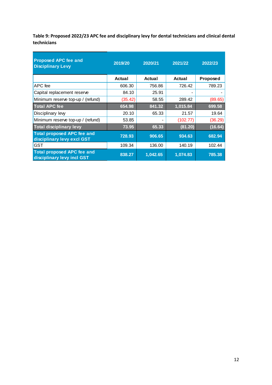**Table 9: Proposed 2022/23 APC fee and disciplinary levy for dental technicians and clinical dental technicians**

| <b>Proposed APC fee and</b><br><b>Disciplinary Levy</b>         | 2019/20 | 2020/21  | 2021/22  | 2022/23  |
|-----------------------------------------------------------------|---------|----------|----------|----------|
|                                                                 | Actual  | Actual   | Actual   | Proposed |
| APC fee                                                         | 606.30  | 756.86   | 726.42   | 789.23   |
| Capital replacement reserve                                     | 84.10   | 25.91    |          |          |
| Minimum reserve top-up / (refund)                               | (35.42) | 58.55    | 289.42   | (89.65)  |
| <b>Total APC fee</b>                                            | 654.98  | 841.32   | 1,015.84 | 699.58   |
| Disciplinary lew                                                | 20.10   | 65.33    | 21.57    | 19.64    |
| Minimum reserve top-up / (refund)                               | 53.85   |          | (102.77) | (36.29)  |
| <b>Total disciplinary levy</b>                                  | 73.95   | 65.33    | (81.20)  | (16.64)  |
| <b>Total proposed APC fee and</b><br>disciplinary levy excl GST | 728.93  | 906.65   | 934.63   | 682.94   |
| GST                                                             | 109.34  | 136.00   | 140.19   | 102.44   |
| <b>Total proposed APC fee and</b><br>disciplinary levy incl GST | 838.27  | 1.042.65 | 1,074.83 | 785.38   |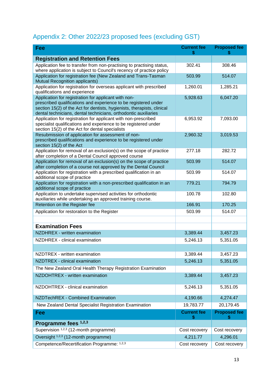## Appendix 2: Other 2022/23 proposed fees (excluding GST)

| <b>Fee</b>                                                                                                                                                                                                                                                            | <b>Current fee</b><br>\$ | <b>Proposed fee</b><br>S |
|-----------------------------------------------------------------------------------------------------------------------------------------------------------------------------------------------------------------------------------------------------------------------|--------------------------|--------------------------|
| <b>Registration and Retention Fees</b>                                                                                                                                                                                                                                |                          |                          |
| Application fee to transfer from non-practising to practising status,<br>where application is subject to Council's recency of practice policy                                                                                                                         | 302.41                   | 308.46                   |
| Application for registration fee (New Zealand and Trans-Tasman<br>Mutual Recognition applicants)                                                                                                                                                                      | 503.99                   | 514.07                   |
| Application for registration for overseas applicant with prescribed<br>qualifications and experience                                                                                                                                                                  | 1,260.01                 | 1,285.21                 |
| Application for registration for applicant with non-<br>prescribed qualifications and experience to be registered under<br>section 15(2) of the Act for dentists, hygienists, therapists, clinical<br>dental technicians, dental technicians, orthodontic auxiliaries | 5,928.63                 | 6,047.20                 |
| Application for registration for applicant with non-prescribed<br>specialist qualifications and experience to be registered under<br>section 15(2) of the Act for dental specialists                                                                                  | 6,953.92                 | 7,093.00                 |
| Resubmission of application for assessment of non-<br>prescribed qualifications and experience to be registered under<br>section 15(2) of the Act                                                                                                                     | 2,960.32                 | 3,019.53                 |
| Application for removal of an exclusion(s) on the scope of practice<br>after completion of a Dental Council approved course                                                                                                                                           | 277.18                   | 282.72                   |
| Application for removal of an exclusion(s) on the scope of practice<br>after completion of a course not approved by the Dental Council                                                                                                                                | 503.99                   | 514.07                   |
| Application for registration with a prescribed qualification in an<br>additional scope of practice                                                                                                                                                                    | 503.99                   | 514.07                   |
| Application for registration with a non-prescribed qualification in an<br>additional scope of practice                                                                                                                                                                | 779.21                   | 794.79                   |
| Application to undertake supervised activities for orthodontic<br>auxiliaries while undertaking an approved training course.                                                                                                                                          | 100.78                   | 102.80                   |
| Retention on the Register fee                                                                                                                                                                                                                                         | 166.91                   | 170.25                   |
| Application for restoration to the Register                                                                                                                                                                                                                           | 503.99                   | 514.07                   |
| <b>Examination Fees</b>                                                                                                                                                                                                                                               |                          |                          |
| NZDHREX - written examination                                                                                                                                                                                                                                         | 3,389.44                 | 3,457.23                 |
| NZDHREX - clinical examination                                                                                                                                                                                                                                        |                          |                          |
|                                                                                                                                                                                                                                                                       | 5,246.13                 | 5,351.05                 |
| NZDTREX - written examination                                                                                                                                                                                                                                         | 3,389.44                 | 3,457.23                 |
| NZDTREX - clinical examination                                                                                                                                                                                                                                        | 5,246.13                 | 5,351.05                 |
| The New Zealand Oral Health Therapy Registration Examination                                                                                                                                                                                                          |                          |                          |
| NZDOHTREX - written examination                                                                                                                                                                                                                                       | 3,389.44                 | 3,457.23                 |
| NZDOHTREX - clinical examination                                                                                                                                                                                                                                      | 5,246.13                 | 5,351.05                 |
| NZDTechREX - Combined Examination                                                                                                                                                                                                                                     | 4,190.66                 | 4,274.47                 |
| New Zealand Dental Specialist Registration Examination                                                                                                                                                                                                                | 19,783.77                | 20,179.45                |
| Fee                                                                                                                                                                                                                                                                   | <b>Current fee</b><br>S  | <b>Proposed fee</b>      |
| Programme fees 1,2,3                                                                                                                                                                                                                                                  |                          |                          |
| Supervision 1,2,3 (12-month programme)                                                                                                                                                                                                                                | Cost recovery            | Cost recovery            |
| Oversight <sup>1,2,3</sup> (12-month programme)                                                                                                                                                                                                                       | 4,211.77                 | 4,296.01                 |
| Competence/Recertification Programme: 1,2,3                                                                                                                                                                                                                           | Cost recovery            | Cost recovery            |